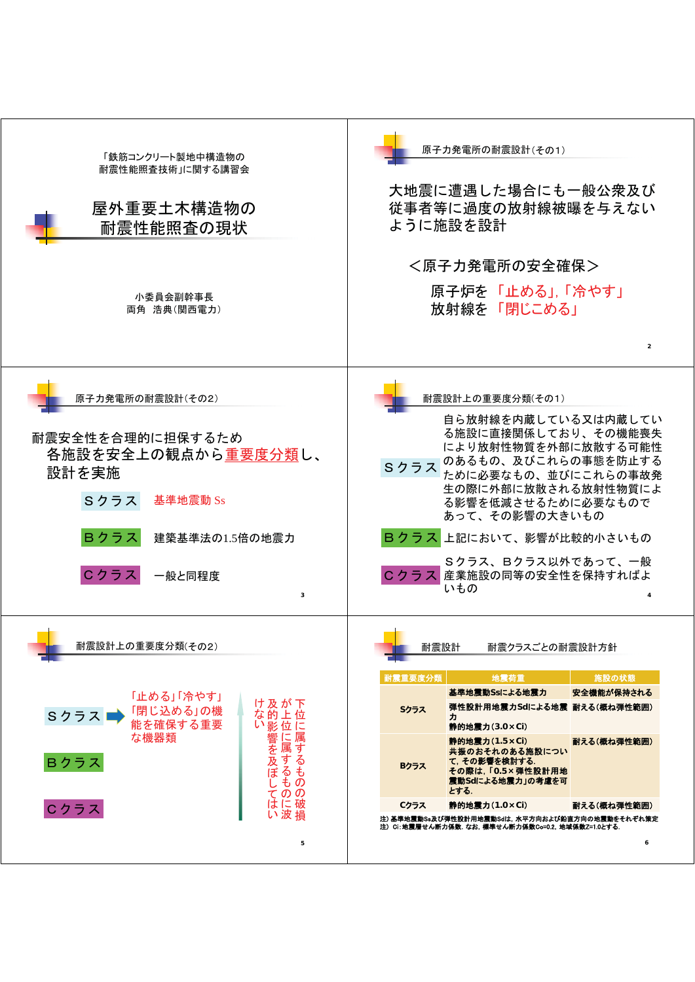| 「鉄筋コンクリート製地中構造物の<br>耐震性能照査技術」に関する講習会<br>屋外重要土木構造物の<br>耐震性能照査の現状                                                                                                             | 原子力発電所の耐震設計(その1)<br>大地震に遭遇した場合にも一般公衆及び<br>従事者等に過度の放射線被曝を与えない<br>ように施設を設計                                                                                                                                                                                                                                                                                                                         |
|-----------------------------------------------------------------------------------------------------------------------------------------------------------------------------|--------------------------------------------------------------------------------------------------------------------------------------------------------------------------------------------------------------------------------------------------------------------------------------------------------------------------------------------------------------------------------------------------|
| 小委員会副幹事長<br>両角 浩典(関西電力)                                                                                                                                                     | <原子力発電所の安全確保><br>原子炉を「止める」, 「冷やす」<br> 放射線を 「閉じこめる」<br>$\overline{2}$                                                                                                                                                                                                                                                                                                                             |
| 原子力発電所の耐震設計(その2)<br>耐震安全性を合理的に担保するため<br>各施設を安全上の観点から重要度分類し、<br>設計を実施<br>Sクラス<br>基準地震動 Ss<br>Bクラス<br>建築基準法の1.5倍の地震力<br>Cクラス<br>一般と同程度<br>3                                   | 耐震設計上の重要度分類(その1)<br>自ら放射線を内蔵している又は内蔵してい<br>る施設に直接関係しており、その機能喪失<br>により放射性物質を外部に放散する可能性<br>のあるもの、及びこれらの事態を防止する<br>Sクラス<br>ために必要なもの、並びにこれらの事故発<br>生の際に外部に放散される放射性物質によ<br>る影響を低減させるために必要なもので<br>あって、その影響の大きいもの<br>Bクラス 上記において、影響が比較的小さいもの<br>Sクラス、Bクラス以外であって、一般<br>Cクラス 産業施設の同等の安全性を保持すればよ<br>いもの                                                                                                    |
| 耐震設計上の重要度分類(その2)<br>「止める」「冷やす」<br>け及が下<br>「閉じ込める」の機<br>能を確保する重要<br>な的上位<br>Sクラス■<br>い影位に<br> 1に属するもの。<br>な機器類<br>響を及ぼし<br>Bクラス<br>そ<br>$\overline{O}$<br>はに破<br>Cクラス<br>い波損 | <b>The Contract State</b><br>耐震設計<br>耐震クラスごとの耐震設計方針<br>耐震重要度分類<br>地震荷重<br>施設の状態<br>基準地震動Ssによる地震力<br>安全機能が保持される<br>弾性設計用地震力Sdによる地震 耐える(概ね弾性範囲)<br>Sクラス<br>力<br>静的地震力(3.0×Ci)<br>静的地震力(1.5×Ci)<br>耐える(概ね弾性範囲)<br>共振のおそれのある施設につい<br>て, その影響を検討する.<br>Bクラス<br>その際は, 「O.5×弾性設計用地<br>震動Sdによる地震力」の考慮を可<br>とする.<br>静的地震力(1.0×Ci)<br>Cクラス<br>耐える(概ね弾性範囲)<br>注)基準地震動Ss及び弾性設計用地震動Sdは,水平方向および鉛直方向の地震動をそれぞれ策定 |
| 5                                                                                                                                                                           | 注)Ci:地震層せん断力係数. なお, 標準せん断力係数Co=0.2, 地域係数Z=1.0とする.<br>6                                                                                                                                                                                                                                                                                                                                           |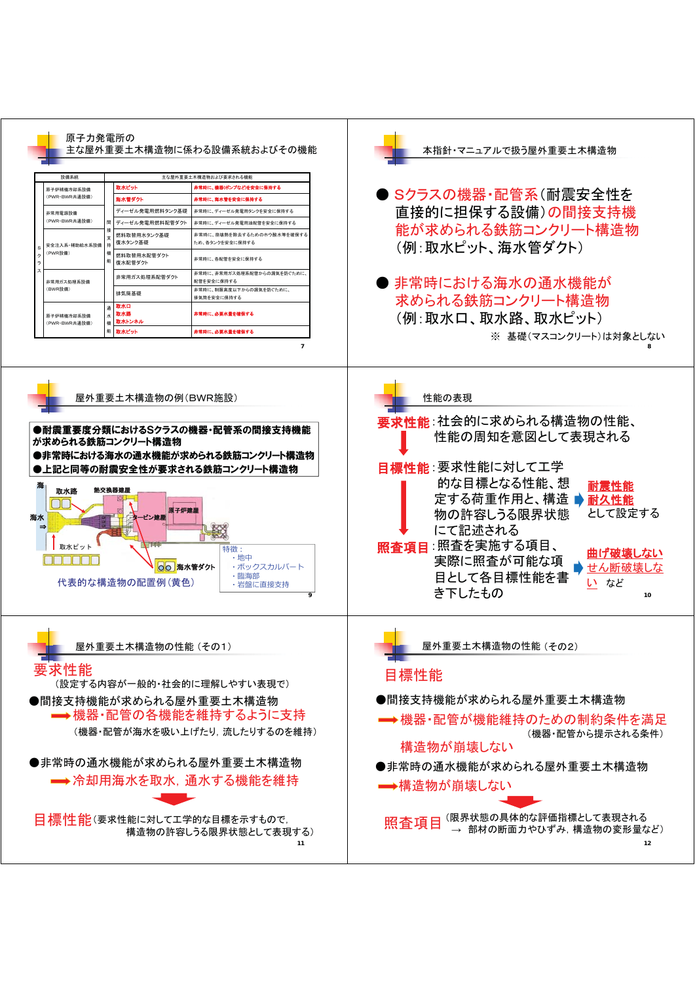